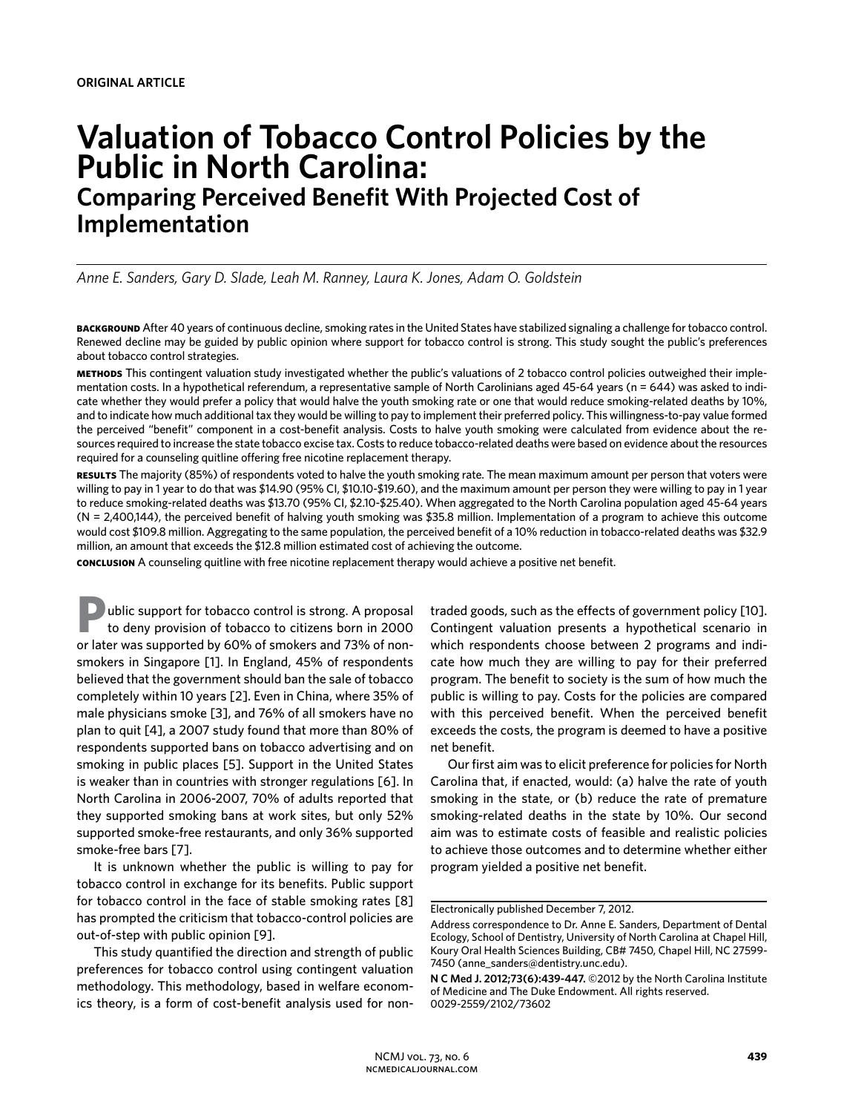# **Valuation of Tobacco Control Policies by the Public in North Carolina: Comparing Perceived Benefit With Projected Cost of Implementation**

*Anne E. Sanders, Gary D. Slade, Leah M. Ranney, Laura K. Jones, Adam O. Goldstein* 

**background** After 40 years of continuous decline, smoking rates in the United States have stabilized signaling a challenge for tobacco control. Renewed decline may be guided by public opinion where support for tobacco control is strong. This study sought the public's preferences about tobacco control strategies.

**methods** This contingent valuation study investigated whether the public's valuations of 2 tobacco control policies outweighed their implementation costs. In a hypothetical referendum, a representative sample of North Carolinians aged 45-64 years (n = 644) was asked to indicate whether they would prefer a policy that would halve the youth smoking rate or one that would reduce smoking-related deaths by 10%, and to indicate how much additional tax they would be willing to pay to implement their preferred policy. This willingness-to-pay value formed the perceived "benefit" component in a cost-benefit analysis. Costs to halve youth smoking were calculated from evidence about the resources required to increase the state tobacco excise tax. Costs to reduce tobacco-related deaths were based on evidence about the resources required for a counseling quitline offering free nicotine replacement therapy.

**results** The majority (85%) of respondents voted to halve the youth smoking rate. The mean maximum amount per person that voters were willing to pay in 1 year to do that was \$14.90 (95% CI, \$10.10-\$19.60), and the maximum amount per person they were willing to pay in 1 year to reduce smoking-related deaths was \$13.70 (95% CI, \$2.10-\$25.40). When aggregated to the North Carolina population aged 45-64 years (N = 2,400,144), the perceived benefit of halving youth smoking was \$35.8 million. Implementation of a program to achieve this outcome would cost \$109.8 million. Aggregating to the same population, the perceived benefit of a 10% reduction in tobacco-related deaths was \$32.9 million, an amount that exceeds the \$12.8 million estimated cost of achieving the outcome.

**conclusion** A counseling quitline with free nicotine replacement therapy would achieve a positive net benefit.

**P**ublic support for tobacco control is strong. A proposal to deny provision of tobacco to citizens born in 2000 or later was supported by 60% of smokers and 73% of nonsmokers in Singapore [1]. In England, 45% of respondents believed that the government should ban the sale of tobacco completely within 10 years [2]. Even in China, where 35% of male physicians smoke [3], and 76% of all smokers have no plan to quit [4], a 2007 study found that more than 80% of respondents supported bans on tobacco advertising and on smoking in public places [5]. Support in the United States is weaker than in countries with stronger regulations [6]. In North Carolina in 2006-2007, 70% of adults reported that they supported smoking bans at work sites, but only 52% supported smoke-free restaurants, and only 36% supported smoke-free bars [7].

It is unknown whether the public is willing to pay for tobacco control in exchange for its benefits. Public support for tobacco control in the face of stable smoking rates [8] has prompted the criticism that tobacco-control policies are out-of-step with public opinion [9].

This study quantified the direction and strength of public preferences for tobacco control using contingent valuation methodology. This methodology, based in welfare economics theory, is a form of cost-benefit analysis used for nontraded goods, such as the effects of government policy [10]. Contingent valuation presents a hypothetical scenario in which respondents choose between 2 programs and indicate how much they are willing to pay for their preferred program. The benefit to society is the sum of how much the public is willing to pay. Costs for the policies are compared with this perceived benefit. When the perceived benefit exceeds the costs, the program is deemed to have a positive net benefit.

Our first aim was to elicit preference for policies for North Carolina that, if enacted, would: (a) halve the rate of youth smoking in the state, or (b) reduce the rate of premature smoking-related deaths in the state by 10%. Our second aim was to estimate costs of feasible and realistic policies to achieve those outcomes and to determine whether either program yielded a positive net benefit.

Electronically published December 7, 2012.

Address correspondence to Dr. Anne E. Sanders, Department of Dental Ecology, School of Dentistry, University of North Carolina at Chapel Hill, Koury Oral Health Sciences Building, CB# 7450, Chapel Hill, NC 27599- 7450 (anne\_sanders@dentistry.unc.edu).

**N C Med J. 2012;73(6):439-447.** ©2012 by the North Carolina Institute of Medicine and The Duke Endowment. All rights reserved. 0029-2559/2102/73602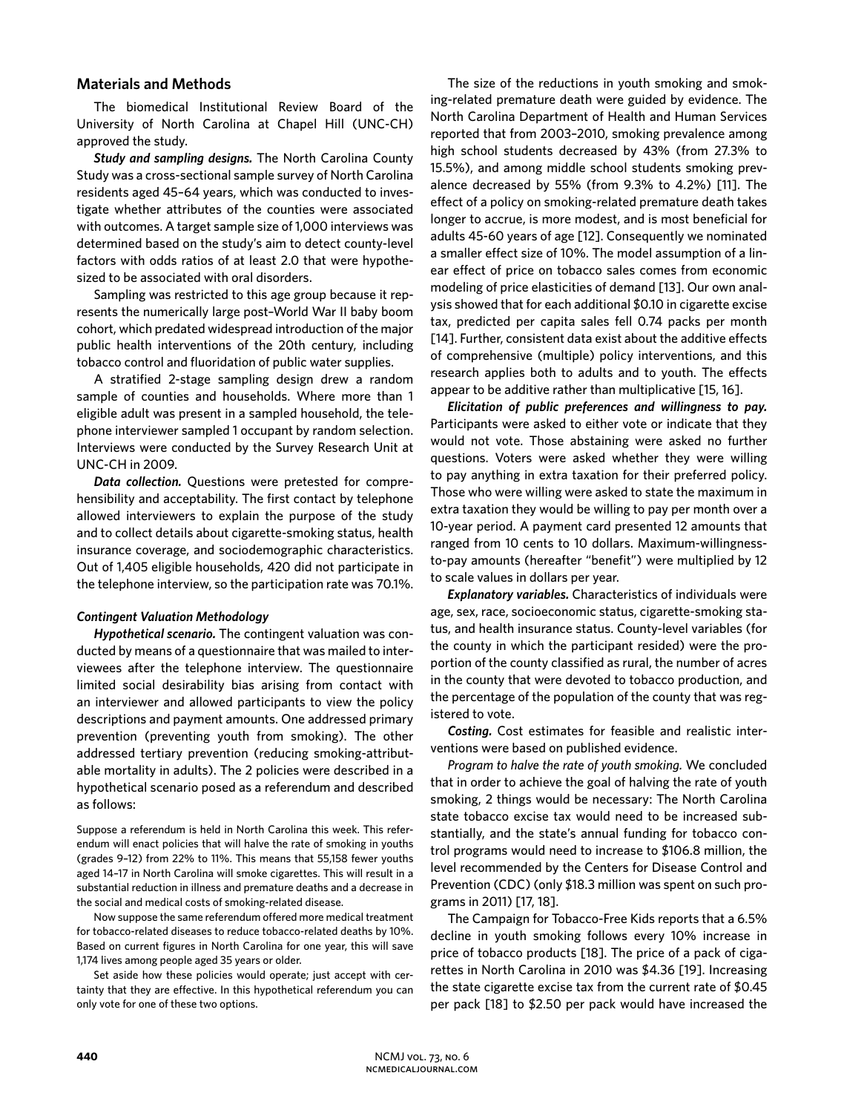# **Materials and Methods**

The biomedical Institutional Review Board of the University of North Carolina at Chapel Hill (UNC-CH) approved the study.

*Study and sampling designs.* The North Carolina County Study was a cross-sectional sample survey of North Carolina residents aged 45–64 years, which was conducted to investigate whether attributes of the counties were associated with outcomes. A target sample size of 1,000 interviews was determined based on the study's aim to detect county-level factors with odds ratios of at least 2.0 that were hypothesized to be associated with oral disorders.

Sampling was restricted to this age group because it represents the numerically large post–World War II baby boom cohort, which predated widespread introduction of the major public health interventions of the 20th century, including tobacco control and fluoridation of public water supplies.

A stratified 2-stage sampling design drew a random sample of counties and households. Where more than 1 eligible adult was present in a sampled household, the telephone interviewer sampled 1 occupant by random selection. Interviews were conducted by the Survey Research Unit at UNC-CH in 2009.

*Data collection.* Questions were pretested for comprehensibility and acceptability. The first contact by telephone allowed interviewers to explain the purpose of the study and to collect details about cigarette-smoking status, health insurance coverage, and sociodemographic characteristics. Out of 1,405 eligible households, 420 did not participate in the telephone interview, so the participation rate was 70.1%.

# *Contingent Valuation Methodology*

*Hypothetical scenario.* The contingent valuation was conducted by means of a questionnaire that was mailed to interviewees after the telephone interview. The questionnaire limited social desirability bias arising from contact with an interviewer and allowed participants to view the policy descriptions and payment amounts. One addressed primary prevention (preventing youth from smoking). The other addressed tertiary prevention (reducing smoking-attributable mortality in adults). The 2 policies were described in a hypothetical scenario posed as a referendum and described as follows:

Suppose a referendum is held in North Carolina this week. This referendum will enact policies that will halve the rate of smoking in youths (grades 9–12) from 22% to 11%. This means that 55,158 fewer youths aged 14–17 in North Carolina will smoke cigarettes. This will result in a substantial reduction in illness and premature deaths and a decrease in the social and medical costs of smoking-related disease.

Now suppose the same referendum offered more medical treatment for tobacco-related diseases to reduce tobacco-related deaths by 10%. Based on current figures in North Carolina for one year, this will save 1,174 lives among people aged 35 years or older.

Set aside how these policies would operate; just accept with certainty that they are effective. In this hypothetical referendum you can only vote for one of these two options.

The size of the reductions in youth smoking and smoking-related premature death were guided by evidence. The North Carolina Department of Health and Human Services reported that from 2003–2010, smoking prevalence among high school students decreased by 43% (from 27.3% to 15.5%), and among middle school students smoking prevalence decreased by 55% (from 9.3% to 4.2%) [11]. The effect of a policy on smoking-related premature death takes longer to accrue, is more modest, and is most beneficial for adults 45-60 years of age [12]. Consequently we nominated a smaller effect size of 10%. The model assumption of a linear effect of price on tobacco sales comes from economic modeling of price elasticities of demand [13]. Our own analysis showed that for each additional \$0.10 in cigarette excise tax, predicted per capita sales fell 0.74 packs per month [14]. Further, consistent data exist about the additive effects of comprehensive (multiple) policy interventions, and this research applies both to adults and to youth. The effects appear to be additive rather than multiplicative [15, 16].

*Elicitation of public preferences and willingness to pay.*  Participants were asked to either vote or indicate that they would not vote. Those abstaining were asked no further questions. Voters were asked whether they were willing to pay anything in extra taxation for their preferred policy. Those who were willing were asked to state the maximum in extra taxation they would be willing to pay per month over a 10-year period. A payment card presented 12 amounts that ranged from 10 cents to 10 dollars. Maximum-willingnessto-pay amounts (hereafter "benefit") were multiplied by 12 to scale values in dollars per year.

*Explanatory variables.* Characteristics of individuals were age, sex, race, socioeconomic status, cigarette-smoking status, and health insurance status. County-level variables (for the county in which the participant resided) were the proportion of the county classified as rural, the number of acres in the county that were devoted to tobacco production, and the percentage of the population of the county that was registered to vote.

*Costing.* Cost estimates for feasible and realistic interventions were based on published evidence.

*Program to halve the rate of youth smoking.* We concluded that in order to achieve the goal of halving the rate of youth smoking, 2 things would be necessary: The North Carolina state tobacco excise tax would need to be increased substantially, and the state's annual funding for tobacco control programs would need to increase to \$106.8 million, the level recommended by the Centers for Disease Control and Prevention (CDC) (only \$18.3 million was spent on such programs in 2011) [17, 18].

The Campaign for Tobacco-Free Kids reports that a 6.5% decline in youth smoking follows every 10% increase in price of tobacco products [18]. The price of a pack of cigarettes in North Carolina in 2010 was \$4.36 [19]. Increasing the state cigarette excise tax from the current rate of \$0.45 per pack [18] to \$2.50 per pack would have increased the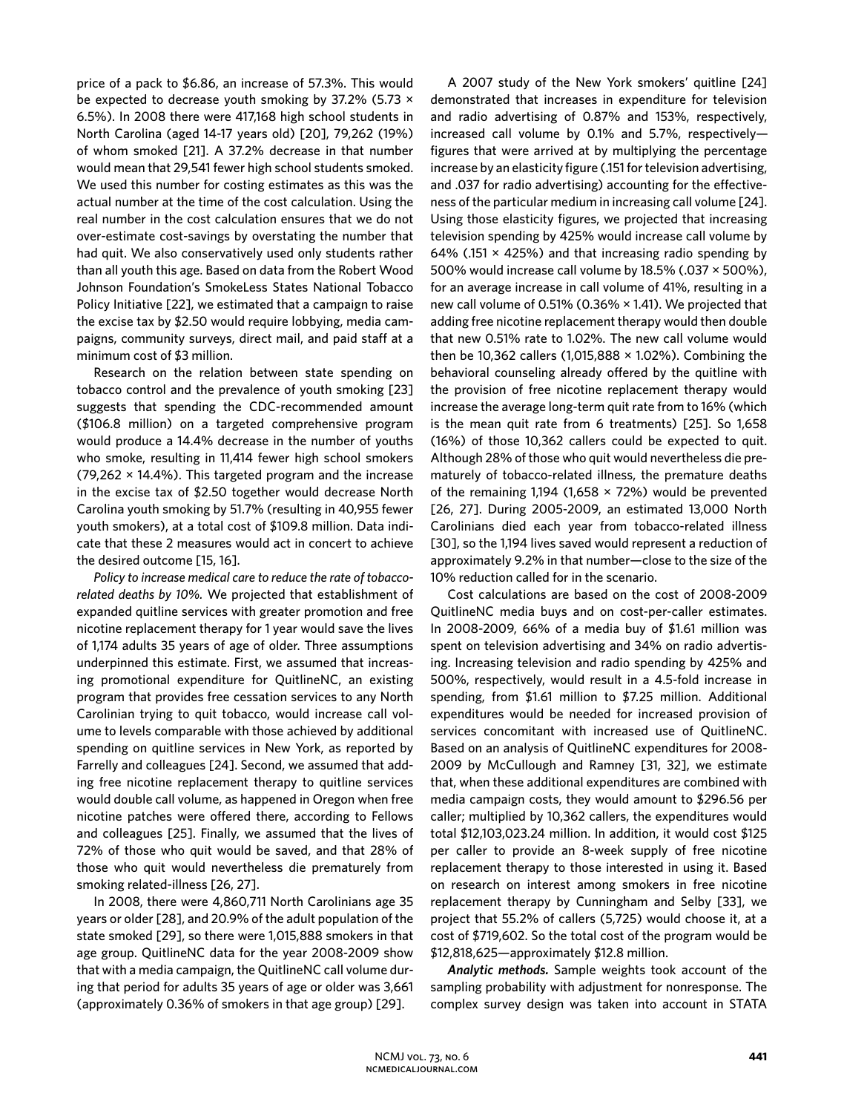price of a pack to \$6.86, an increase of 57.3%. This would be expected to decrease youth smoking by 37.2% (5.73 × 6.5%). In 2008 there were 417,168 high school students in North Carolina (aged 14-17 years old) [20], 79,262 (19%) of whom smoked [21]. A 37.2% decrease in that number would mean that 29,541 fewer high school students smoked. We used this number for costing estimates as this was the actual number at the time of the cost calculation. Using the real number in the cost calculation ensures that we do not over-estimate cost-savings by overstating the number that had quit. We also conservatively used only students rather than all youth this age. Based on data from the Robert Wood Johnson Foundation's SmokeLess States National Tobacco Policy Initiative [22], we estimated that a campaign to raise the excise tax by \$2.50 would require lobbying, media campaigns, community surveys, direct mail, and paid staff at a minimum cost of \$3 million.

Research on the relation between state spending on tobacco control and the prevalence of youth smoking [23] suggests that spending the CDC-recommended amount (\$106.8 million) on a targeted comprehensive program would produce a 14.4% decrease in the number of youths who smoke, resulting in 11,414 fewer high school smokers (79,262  $\times$  14.4%). This targeted program and the increase in the excise tax of \$2.50 together would decrease North Carolina youth smoking by 51.7% (resulting in 40,955 fewer youth smokers), at a total cost of \$109.8 million. Data indicate that these 2 measures would act in concert to achieve the desired outcome [15, 16].

*Policy to increase medical care to reduce the rate of tobaccorelated deaths by 10%.* We projected that establishment of expanded quitline services with greater promotion and free nicotine replacement therapy for 1 year would save the lives of 1,174 adults 35 years of age of older. Three assumptions underpinned this estimate. First, we assumed that increasing promotional expenditure for QuitlineNC, an existing program that provides free cessation services to any North Carolinian trying to quit tobacco, would increase call volume to levels comparable with those achieved by additional spending on quitline services in New York, as reported by Farrelly and colleagues [24]. Second, we assumed that adding free nicotine replacement therapy to quitline services would double call volume, as happened in Oregon when free nicotine patches were offered there, according to Fellows and colleagues [25]. Finally, we assumed that the lives of 72% of those who quit would be saved, and that 28% of those who quit would nevertheless die prematurely from smoking related-illness [26, 27].

In 2008, there were 4,860,711 North Carolinians age 35 years or older [28], and 20.9% of the adult population of the state smoked [29], so there were 1,015,888 smokers in that age group. QuitlineNC data for the year 2008-2009 show that with a media campaign, the QuitlineNC call volume during that period for adults 35 years of age or older was 3,661 (approximately 0.36% of smokers in that age group) [29].

A 2007 study of the New York smokers' quitline [24] demonstrated that increases in expenditure for television and radio advertising of 0.87% and 153%, respectively, increased call volume by 0.1% and 5.7%, respectively figures that were arrived at by multiplying the percentage increase by an elasticity figure (.151 for television advertising, and .037 for radio advertising) accounting for the effectiveness of the particular medium in increasing call volume [24]. Using those elasticity figures, we projected that increasing television spending by 425% would increase call volume by 64% (.151  $\times$  425%) and that increasing radio spending by 500% would increase call volume by 18.5% (.037 × 500%), for an average increase in call volume of 41%, resulting in a new call volume of 0.51% (0.36% × 1.41). We projected that adding free nicotine replacement therapy would then double that new 0.51% rate to 1.02%. The new call volume would then be 10,362 callers (1,015,888  $\times$  1.02%). Combining the behavioral counseling already offered by the quitline with the provision of free nicotine replacement therapy would increase the average long-term quit rate from to 16% (which is the mean quit rate from 6 treatments) [25]. So 1,658 (16%) of those 10,362 callers could be expected to quit. Although 28% of those who quit would nevertheless die prematurely of tobacco-related illness, the premature deaths of the remaining 1,194 (1,658  $\times$  72%) would be prevented [26, 27]. During 2005-2009, an estimated 13,000 North Carolinians died each year from tobacco-related illness [30], so the 1,194 lives saved would represent a reduction of approximately 9.2% in that number—close to the size of the 10% reduction called for in the scenario.

Cost calculations are based on the cost of 2008-2009 QuitlineNC media buys and on cost-per-caller estimates. In 2008-2009, 66% of a media buy of \$1.61 million was spent on television advertising and 34% on radio advertising. Increasing television and radio spending by 425% and 500%, respectively, would result in a 4.5-fold increase in spending, from \$1.61 million to \$7.25 million. Additional expenditures would be needed for increased provision of services concomitant with increased use of QuitlineNC. Based on an analysis of QuitlineNC expenditures for 2008- 2009 by McCullough and Ramney [31, 32], we estimate that, when these additional expenditures are combined with media campaign costs, they would amount to \$296.56 per caller; multiplied by 10,362 callers, the expenditures would total \$12,103,023.24 million. In addition, it would cost \$125 per caller to provide an 8-week supply of free nicotine replacement therapy to those interested in using it. Based on research on interest among smokers in free nicotine replacement therapy by Cunningham and Selby [33], we project that 55.2% of callers (5,725) would choose it, at a cost of \$719,602. So the total cost of the program would be \$12,818,625—approximately \$12.8 million.

*Analytic methods.* Sample weights took account of the sampling probability with adjustment for nonresponse. The complex survey design was taken into account in STATA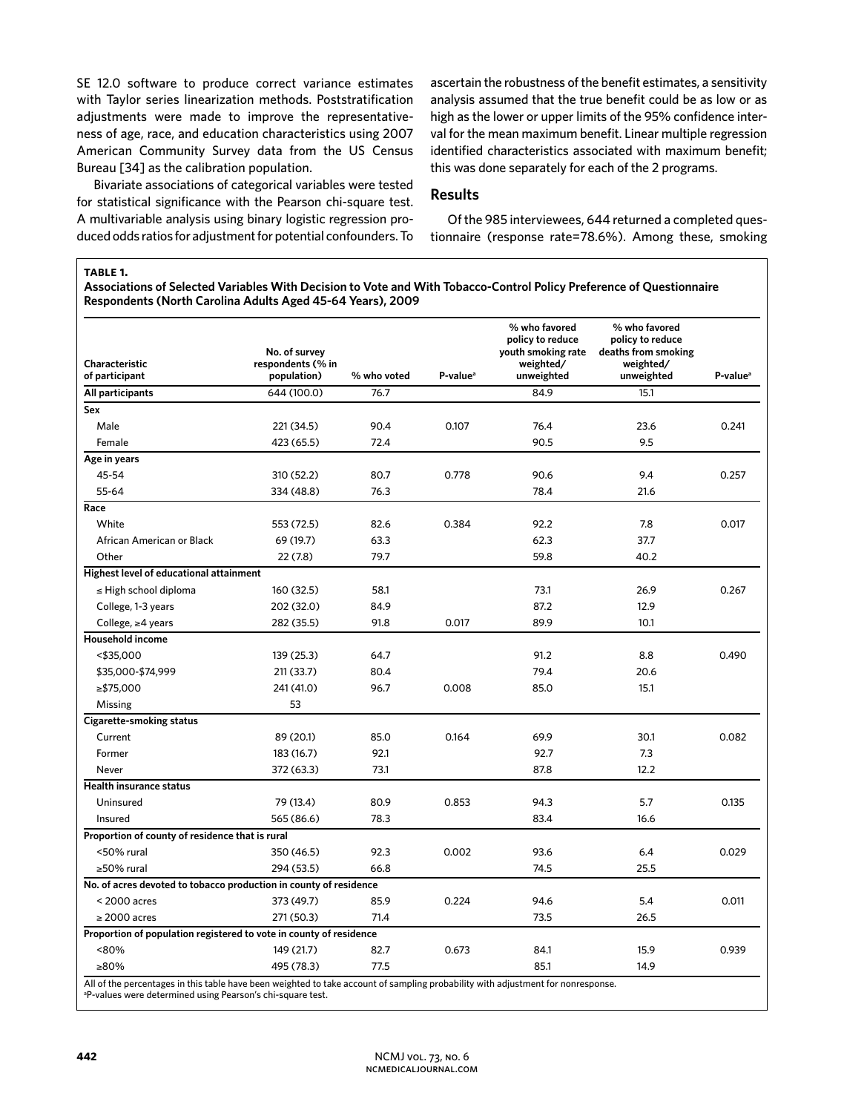SE 12.0 software to produce correct variance estimates with Taylor series linearization methods. Poststratification adjustments were made to improve the representativeness of age, race, and education characteristics using 2007 American Community Survey data from the US Census Bureau [34] as the calibration population.

Bivariate associations of categorical variables were tested for statistical significance with the Pearson chi-square test. A multivariable analysis using binary logistic regression produced odds ratios for adjustment for potential confounders. To

ascertain the robustness of the benefit estimates, a sensitivity analysis assumed that the true benefit could be as low or as high as the lower or upper limits of the 95% confidence interval for the mean maximum benefit. Linear multiple regression identified characteristics associated with maximum benefit; this was done separately for each of the 2 programs.

# **Results**

Of the 985 interviewees, 644 returned a completed questionnaire (response rate=78.6%). Among these, smoking

### **table 1.**

**Associations of Selected Variables With Decision to Vote and With Tobacco-Control Policy Preference of Questionnaire Respondents (North Carolina Adults Aged 45-64 Years), 2009**

|                                                                    | No. of survey                    |             |                      | % who favored<br>policy to reduce<br>youth smoking rate | % who favored<br>policy to reduce<br>deaths from smoking |                      |
|--------------------------------------------------------------------|----------------------------------|-------------|----------------------|---------------------------------------------------------|----------------------------------------------------------|----------------------|
| Characteristic<br>of participant                                   | respondents (% in<br>population) | % who voted | P-value <sup>a</sup> | weighted/<br>unweighted                                 | weighted/<br>unweighted                                  | P-value <sup>a</sup> |
| All participants                                                   | 644 (100.0)                      | 76.7        |                      | 84.9                                                    | 15.1                                                     |                      |
| Sex                                                                |                                  |             |                      |                                                         |                                                          |                      |
| Male                                                               | 221 (34.5)                       | 90.4        | 0.107                | 76.4                                                    | 23.6                                                     | 0.241                |
| Female                                                             | 423 (65.5)                       | 72.4        |                      | 90.5                                                    | 9.5                                                      |                      |
| Age in years                                                       |                                  |             |                      |                                                         |                                                          |                      |
| 45-54                                                              | 310 (52.2)                       | 80.7        | 0.778                | 90.6                                                    | 9.4                                                      | 0.257                |
| 55-64                                                              | 334 (48.8)                       | 76.3        |                      | 78.4                                                    | 21.6                                                     |                      |
| Race                                                               |                                  |             |                      |                                                         |                                                          |                      |
| White                                                              | 553 (72.5)                       | 82.6        | 0.384                | 92.2                                                    | 7.8                                                      | 0.017                |
| African American or Black                                          | 69 (19.7)                        | 63.3        |                      | 62.3                                                    | 37.7                                                     |                      |
| Other                                                              | 22 (7.8)                         | 79.7        |                      | 59.8                                                    | 40.2                                                     |                      |
| Highest level of educational attainment                            |                                  |             |                      |                                                         |                                                          |                      |
| $\leq$ High school diploma                                         | 160 (32.5)                       | 58.1        |                      | 73.1                                                    | 26.9                                                     | 0.267                |
| College, 1-3 years                                                 | 202 (32.0)                       | 84.9        |                      | 87.2                                                    | 12.9                                                     |                      |
| College, $\geq 4$ years                                            | 282 (35.5)                       | 91.8        | 0.017                | 89.9                                                    | 10.1                                                     |                      |
| <b>Household income</b>                                            |                                  |             |                      |                                                         |                                                          |                      |
| $<$ \$35,000                                                       | 139 (25.3)                       | 64.7        |                      | 91.2                                                    | 8.8                                                      | 0.490                |
| \$35,000-\$74,999                                                  | 211 (33.7)                       | 80.4        |                      | 79.4                                                    | 20.6                                                     |                      |
| ≥\$75,000                                                          | 241 (41.0)                       | 96.7        | 0.008                | 85.0                                                    | 15.1                                                     |                      |
| Missing                                                            | 53                               |             |                      |                                                         |                                                          |                      |
| <b>Cigarette-smoking status</b>                                    |                                  |             |                      |                                                         |                                                          |                      |
| Current                                                            | 89 (20.1)                        | 85.0        | 0.164                | 69.9                                                    | 30.1                                                     | 0.082                |
| Former                                                             | 183 (16.7)                       | 92.1        |                      | 92.7                                                    | 7.3                                                      |                      |
| Never                                                              | 372 (63.3)                       | 73.1        |                      | 87.8                                                    | 12.2                                                     |                      |
| <b>Health insurance status</b>                                     |                                  |             |                      |                                                         |                                                          |                      |
| Uninsured                                                          | 79 (13.4)                        | 80.9        | 0.853                | 94.3                                                    | 5.7                                                      | 0.135                |
| Insured                                                            | 565 (86.6)                       | 78.3        |                      | 83.4                                                    | 16.6                                                     |                      |
| Proportion of county of residence that is rural                    |                                  |             |                      |                                                         |                                                          |                      |
| <50% rural                                                         | 350 (46.5)                       | 92.3        | 0.002                | 93.6                                                    | 6.4                                                      | 0.029                |
| ≥50% rural                                                         | 294 (53.5)                       | 66.8        |                      | 74.5                                                    | 25.5                                                     |                      |
| No. of acres devoted to tobacco production in county of residence  |                                  |             |                      |                                                         |                                                          |                      |
| $<$ 2000 acres                                                     | 373 (49.7)                       | 85.9        | 0.224                | 94.6                                                    | 5.4                                                      | 0.011                |
| $\geq$ 2000 acres                                                  | 271 (50.3)                       | 71.4        |                      | 73.5                                                    | 26.5                                                     |                      |
| Proportion of population registered to vote in county of residence |                                  |             |                      |                                                         |                                                          |                      |
| <80%                                                               | 149 (21.7)                       | 82.7        | 0.673                | 84.1                                                    | 15.9                                                     | 0.939                |
| ≥80%<br>80.000                                                     | 495 (78.3)                       | 77.5        |                      | 85.1                                                    | 14.9                                                     |                      |

All of the percentages in this table have been weighted to take account of sampling probability with adjustment for nonresponse.

a P-values were determined using Pearson's chi-square test.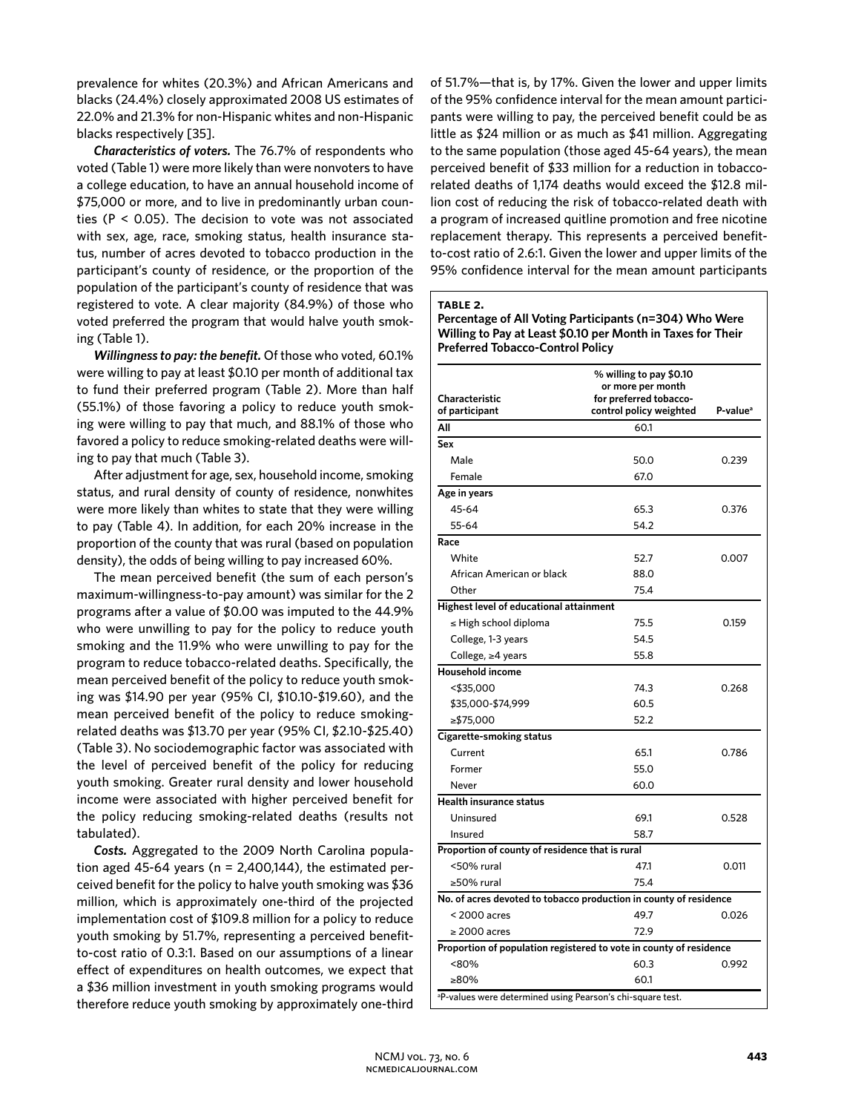prevalence for whites (20.3%) and African Americans and blacks (24.4%) closely approximated 2008 US estimates of 22.0% and 21.3% for non-Hispanic whites and non-Hispanic blacks respectively [35].

*Characteristics of voters.* The 76.7% of respondents who voted (Table 1) were more likely than were nonvoters to have a college education, to have an annual household income of \$75,000 or more, and to live in predominantly urban counties (P < 0.05). The decision to vote was not associated with sex, age, race, smoking status, health insurance status, number of acres devoted to tobacco production in the participant's county of residence, or the proportion of the population of the participant's county of residence that was registered to vote. A clear majority (84.9%) of those who voted preferred the program that would halve youth smoking (Table 1).

*Willingness to pay: the benefit.* Of those who voted, 60.1% were willing to pay at least \$0.10 per month of additional tax to fund their preferred program (Table 2). More than half (55.1%) of those favoring a policy to reduce youth smoking were willing to pay that much, and 88.1% of those who favored a policy to reduce smoking-related deaths were willing to pay that much (Table 3).

After adjustment for age, sex, household income, smoking status, and rural density of county of residence, nonwhites were more likely than whites to state that they were willing to pay (Table 4). In addition, for each 20% increase in the proportion of the county that was rural (based on population density), the odds of being willing to pay increased 60%.

The mean perceived benefit (the sum of each person's maximum-willingness-to-pay amount) was similar for the 2 programs after a value of \$0.00 was imputed to the 44.9% who were unwilling to pay for the policy to reduce youth smoking and the 11.9% who were unwilling to pay for the program to reduce tobacco-related deaths. Specifically, the mean perceived benefit of the policy to reduce youth smoking was \$14.90 per year (95% CI, \$10.10-\$19.60), and the mean perceived benefit of the policy to reduce smokingrelated deaths was \$13.70 per year (95% CI, \$2.10-\$25.40) (Table 3). No sociodemographic factor was associated with the level of perceived benefit of the policy for reducing youth smoking. Greater rural density and lower household income were associated with higher perceived benefit for the policy reducing smoking-related deaths (results not tabulated).

*Costs.* Aggregated to the 2009 North Carolina population aged 45-64 years ( $n = 2,400,144$ ), the estimated perceived benefit for the policy to halve youth smoking was \$36 million, which is approximately one-third of the projected implementation cost of \$109.8 million for a policy to reduce youth smoking by 51.7%, representing a perceived benefitto-cost ratio of 0.3:1. Based on our assumptions of a linear effect of expenditures on health outcomes, we expect that a \$36 million investment in youth smoking programs would therefore reduce youth smoking by approximately one-third

of 51.7%—that is, by 17%. Given the lower and upper limits of the 95% confidence interval for the mean amount participants were willing to pay, the perceived benefit could be as little as \$24 million or as much as \$41 million. Aggregating to the same population (those aged 45-64 years), the mean perceived benefit of \$33 million for a reduction in tobaccorelated deaths of 1,174 deaths would exceed the \$12.8 million cost of reducing the risk of tobacco-related death with a program of increased quitline promotion and free nicotine replacement therapy. This represents a perceived benefitto-cost ratio of 2.6:1. Given the lower and upper limits of the 95% confidence interval for the mean amount participants

#### **table 2.**

**Percentage of All Voting Participants (n=304) Who Were Willing to Pay at Least \$0.10 per Month in Taxes for Their Preferred Tobacco-Control Policy**

|                                                                        | % willing to pay \$0.10<br>or more per month |                      |  |  |
|------------------------------------------------------------------------|----------------------------------------------|----------------------|--|--|
| Characteristic                                                         | for preferred tobacco-                       |                      |  |  |
| of participant                                                         | control policy weighted                      | P-value <sup>a</sup> |  |  |
| All                                                                    | 60.1                                         |                      |  |  |
| Sex                                                                    |                                              |                      |  |  |
| Male                                                                   | 50.0                                         | 0.239                |  |  |
| Female                                                                 | 67.0                                         |                      |  |  |
| Age in years                                                           |                                              |                      |  |  |
| 45-64                                                                  | 65.3                                         | 0.376                |  |  |
| 55-64                                                                  | 54.2                                         |                      |  |  |
| Race                                                                   |                                              |                      |  |  |
| White                                                                  | 52.7                                         | 0.007                |  |  |
| African American or black                                              | 88.0                                         |                      |  |  |
| Other                                                                  | 75.4                                         |                      |  |  |
| Highest level of educational attainment                                |                                              |                      |  |  |
| $\leq$ High school diploma                                             | 75.5                                         | 0.159                |  |  |
| College, 1-3 years                                                     | 54.5                                         |                      |  |  |
| College, ≥4 years                                                      | 55.8                                         |                      |  |  |
| <b>Household income</b>                                                |                                              |                      |  |  |
| <\$35,000                                                              | 74.3                                         | 0.268                |  |  |
| \$35,000-\$74,999                                                      | 60.5                                         |                      |  |  |
| ≥\$75,000                                                              | 52.2                                         |                      |  |  |
| Cigarette-smoking status                                               |                                              |                      |  |  |
| Current                                                                | 65.1                                         | 0.786                |  |  |
| Former                                                                 | 55.0                                         |                      |  |  |
| Never                                                                  | 60.0                                         |                      |  |  |
| <b>Health insurance status</b>                                         |                                              |                      |  |  |
| Uninsured                                                              | 69.1                                         | 0.528                |  |  |
| Insured                                                                | 58.7                                         |                      |  |  |
| Proportion of county of residence that is rural                        |                                              |                      |  |  |
| <50% rural                                                             | 47.1                                         | 0.011                |  |  |
| ≥50% rural                                                             | 75.4                                         |                      |  |  |
| No. of acres devoted to tobacco production in county of residence      |                                              |                      |  |  |
| $<$ 2000 acres                                                         | 49.7                                         | 0.026                |  |  |
| $\geq$ 2000 acres                                                      | 72.9                                         |                      |  |  |
| Proportion of population registered to vote in county of residence     |                                              |                      |  |  |
| <80%                                                                   | 60.3                                         | 0.992                |  |  |
| ≥80%                                                                   | 60.1                                         |                      |  |  |
| <sup>a</sup> P-values were determined using Pearson's chi-square test. |                                              |                      |  |  |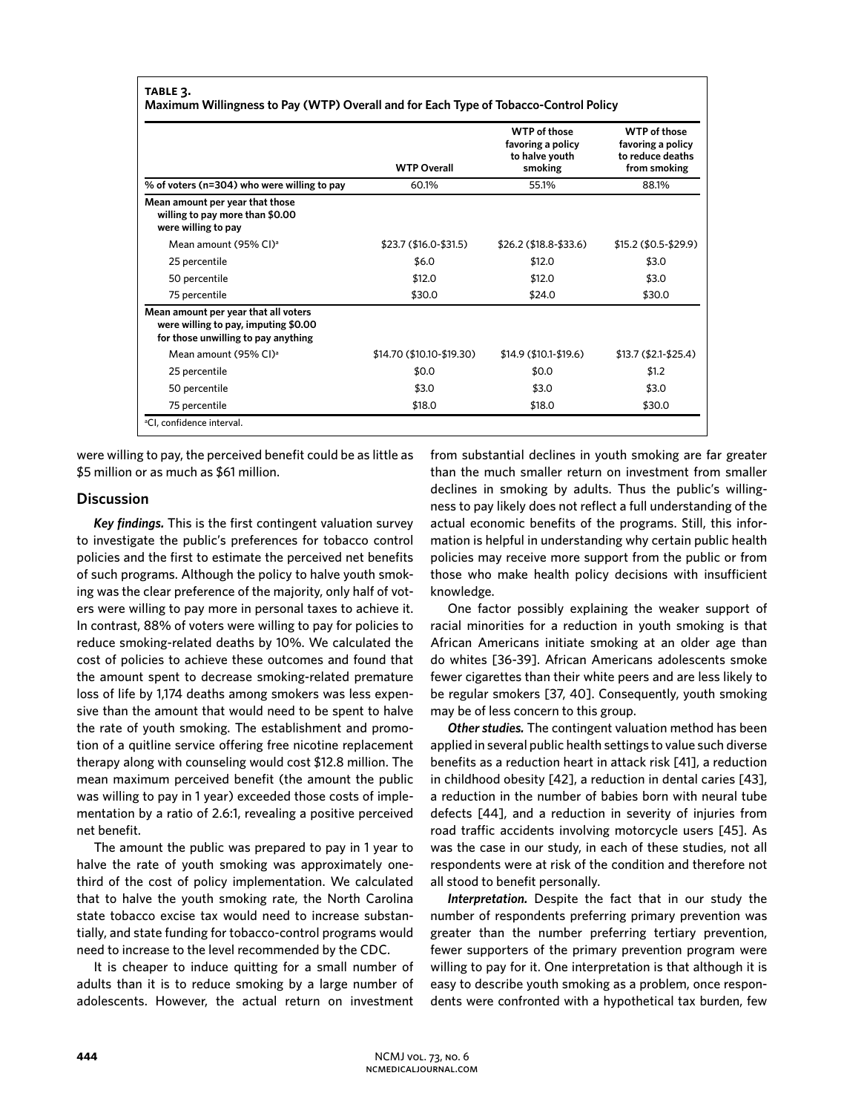# **table 3.**

**Maximum Willingness to Pay (WTP) Overall and for Each Type of Tobacco-Control Policy**

|                                                                                                                     | <b>WTP Overall</b>        | <b>WTP</b> of those<br>favoring a policy<br>to halve youth<br>smoking | <b>WTP</b> of those<br>favoring a policy<br>to reduce deaths<br>from smoking |
|---------------------------------------------------------------------------------------------------------------------|---------------------------|-----------------------------------------------------------------------|------------------------------------------------------------------------------|
| % of voters (n=304) who were willing to pay                                                                         | 60.1%                     | 55.1%                                                                 | 88.1%                                                                        |
| Mean amount per year that those<br>willing to pay more than \$0.00<br>were willing to pay                           |                           |                                                                       |                                                                              |
| Mean amount (95% CI) <sup>a</sup>                                                                                   | \$23.7 (\$16.0-\$31.5)    | $$26.2$$ (\$18.8-\$33.6)                                              | $$15.2$ (\$0.5-\$29.9)                                                       |
| 25 percentile                                                                                                       | \$6.0                     | \$12.0                                                                | \$3.0                                                                        |
| 50 percentile                                                                                                       | \$12.0                    | \$12.0                                                                | \$3.0                                                                        |
| 75 percentile                                                                                                       | \$30.0                    | \$24.0                                                                | \$30.0                                                                       |
| Mean amount per year that all voters<br>were willing to pay, imputing \$0.00<br>for those unwilling to pay anything |                           |                                                                       |                                                                              |
| Mean amount (95% CI) <sup>a</sup>                                                                                   | \$14.70 (\$10.10-\$19.30) | $$14.9$ (\$10.1-\$19.6)                                               | $$13.7 ($2.1-$25.4)$                                                         |
| 25 percentile                                                                                                       | \$0.0                     | \$0.0                                                                 | \$1.2                                                                        |
| 50 percentile                                                                                                       | \$3.0                     | \$3.0                                                                 | \$3.0                                                                        |
| 75 percentile                                                                                                       | \$18.0                    | \$18.0                                                                | \$30.0                                                                       |

were willing to pay, the perceived benefit could be as little as \$5 million or as much as \$61 million.

# **Discussion**

*Key findings.* This is the first contingent valuation survey to investigate the public's preferences for tobacco control policies and the first to estimate the perceived net benefits of such programs. Although the policy to halve youth smoking was the clear preference of the majority, only half of voters were willing to pay more in personal taxes to achieve it. In contrast, 88% of voters were willing to pay for policies to reduce smoking-related deaths by 10%. We calculated the cost of policies to achieve these outcomes and found that the amount spent to decrease smoking-related premature loss of life by 1,174 deaths among smokers was less expensive than the amount that would need to be spent to halve the rate of youth smoking. The establishment and promotion of a quitline service offering free nicotine replacement therapy along with counseling would cost \$12.8 million. The mean maximum perceived benefit (the amount the public was willing to pay in 1 year) exceeded those costs of implementation by a ratio of 2.6:1, revealing a positive perceived net benefit.

The amount the public was prepared to pay in 1 year to halve the rate of youth smoking was approximately onethird of the cost of policy implementation. We calculated that to halve the youth smoking rate, the North Carolina state tobacco excise tax would need to increase substantially, and state funding for tobacco-control programs would need to increase to the level recommended by the CDC.

It is cheaper to induce quitting for a small number of adults than it is to reduce smoking by a large number of adolescents. However, the actual return on investment from substantial declines in youth smoking are far greater than the much smaller return on investment from smaller declines in smoking by adults. Thus the public's willingness to pay likely does not reflect a full understanding of the actual economic benefits of the programs. Still, this information is helpful in understanding why certain public health policies may receive more support from the public or from those who make health policy decisions with insufficient knowledge.

One factor possibly explaining the weaker support of racial minorities for a reduction in youth smoking is that African Americans initiate smoking at an older age than do whites [36-39]. African Americans adolescents smoke fewer cigarettes than their white peers and are less likely to be regular smokers [37, 40]. Consequently, youth smoking may be of less concern to this group.

*Other studies.* The contingent valuation method has been applied in several public health settings to value such diverse benefits as a reduction heart in attack risk [41], a reduction in childhood obesity [42], a reduction in dental caries [43], a reduction in the number of babies born with neural tube defects [44], and a reduction in severity of injuries from road traffic accidents involving motorcycle users [45]. As was the case in our study, in each of these studies, not all respondents were at risk of the condition and therefore not all stood to benefit personally.

*Interpretation.* Despite the fact that in our study the number of respondents preferring primary prevention was greater than the number preferring tertiary prevention, fewer supporters of the primary prevention program were willing to pay for it. One interpretation is that although it is easy to describe youth smoking as a problem, once respondents were confronted with a hypothetical tax burden, few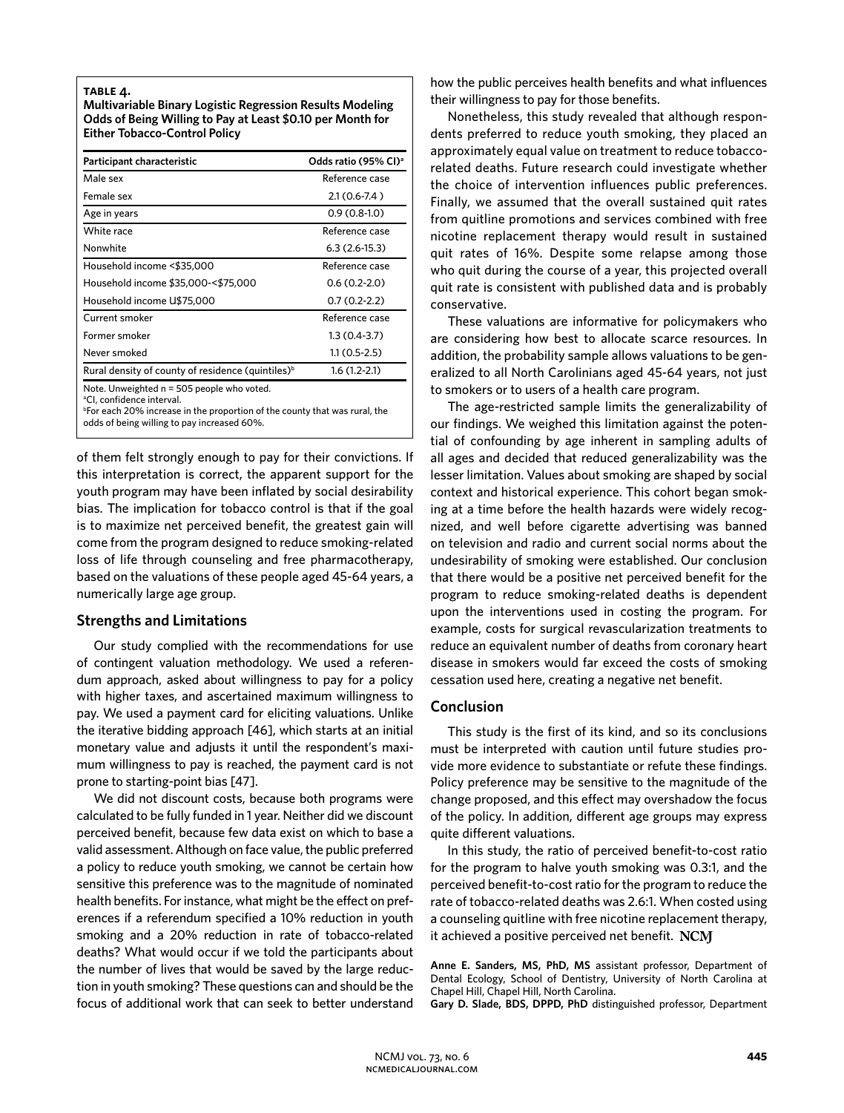#### **table 4.**

**Multivariable Binary Logistic Regression Results Modeling Odds of Being Willing to Pay at Least \$0.10 per Month for Either Tobacco-Control Policy** 

| Participant characteristic                                    | Odds ratio (95% CI) <sup>a</sup> |  |
|---------------------------------------------------------------|----------------------------------|--|
| Male sex                                                      | Reference case                   |  |
| Female sex                                                    | $2.1(0.6 - 7.4)$                 |  |
| Age in years                                                  | $0.9(0.8-1.0)$                   |  |
| White race                                                    | Reference case                   |  |
| Nonwhite                                                      | $6.3(2.6-15.3)$                  |  |
| Household income <\$35,000                                    | Reference case                   |  |
| Household income \$35,000-<\$75,000                           | $0.6(0.2-2.0)$                   |  |
| Household income U\$75,000                                    | $0.7(0.2-2.2)$                   |  |
| Current smoker                                                | Reference case                   |  |
| Former smoker                                                 | $1.3(0.4-3.7)$                   |  |
| Never smoked                                                  | 1.1 (0.5-2.5)                    |  |
| Rural density of county of residence (quintiles) <sup>b</sup> | $1.6(1.2-2.1)$                   |  |
|                                                               |                                  |  |

Note. Unweighted n = 505 people who voted.

a CI, confidence interval.

<sup>b</sup>For each 20% increase in the proportion of the county that was rural, the odds of being willing to pay increased 60%.

of them felt strongly enough to pay for their convictions. If this interpretation is correct, the apparent support for the youth program may have been inflated by social desirability bias. The implication for tobacco control is that if the goal is to maximize net perceived benefit, the greatest gain will come from the program designed to reduce smoking-related loss of life through counseling and free pharmacotherapy, based on the valuations of these people aged 45-64 years, a numerically large age group.

# **Strengths and Limitations**

Our study complied with the recommendations for use of contingent valuation methodology. We used a referendum approach, asked about willingness to pay for a policy with higher taxes, and ascertained maximum willingness to pay. We used a payment card for eliciting valuations. Unlike the iterative bidding approach [46], which starts at an initial monetary value and adjusts it until the respondent's maximum willingness to pay is reached, the payment card is not prone to starting-point bias [47].

We did not discount costs, because both programs were calculated to be fully funded in 1 year. Neither did we discount perceived benefit, because few data exist on which to base a valid assessment. Although on face value, the public preferred a policy to reduce youth smoking, we cannot be certain how sensitive this preference was to the magnitude of nominated health benefits. For instance, what might be the effect on preferences if a referendum specified a 10% reduction in youth smoking and a 20% reduction in rate of tobacco-related deaths? What would occur if we told the participants about the number of lives that would be saved by the large reduction in youth smoking? These questions can and should be the focus of additional work that can seek to better understand

how the public perceives health benefits and what influences their willingness to pay for those benefits.

Nonetheless, this study revealed that although respondents preferred to reduce youth smoking, they placed an approximately equal value on treatment to reduce tobaccorelated deaths. Future research could investigate whether the choice of intervention influences public preferences. Finally, we assumed that the overall sustained quit rates from quitline promotions and services combined with free nicotine replacement therapy would result in sustained quit rates of 16%. Despite some relapse among those who quit during the course of a year, this projected overall quit rate is consistent with published data and is probably conservative.

These valuations are informative for policymakers who are considering how best to allocate scarce resources. In addition, the probability sample allows valuations to be generalized to all North Carolinians aged 45-64 years, not just to smokers or to users of a health care program.

The age-restricted sample limits the generalizability of our findings. We weighed this limitation against the potential of confounding by age inherent in sampling adults of all ages and decided that reduced generalizability was the lesser limitation. Values about smoking are shaped by social context and historical experience. This cohort began smoking at a time before the health hazards were widely recognized, and well before cigarette advertising was banned on television and radio and current social norms about the undesirability of smoking were established. Our conclusion that there would be a positive net perceived benefit for the program to reduce smoking-related deaths is dependent upon the interventions used in costing the program. For example, costs for surgical revascularization treatments to reduce an equivalent number of deaths from coronary heart disease in smokers would far exceed the costs of smoking cessation used here, creating a negative net benefit.

# **Conclusion**

This study is the first of its kind, and so its conclusions must be interpreted with caution until future studies provide more evidence to substantiate or refute these findings. Policy preference may be sensitive to the magnitude of the change proposed, and this effect may overshadow the focus of the policy. In addition, different age groups may express quite different valuations.

In this study, the ratio of perceived benefit-to-cost ratio for the program to halve youth smoking was 0.3:1, and the perceived benefit-to-cost ratio for the program to reduce the rate of tobacco-related deaths was 2.6:1. When costed using a counseling quitline with free nicotine replacement therapy, it achieved a positive perceived net benefit. NCM

**Anne E. Sanders, MS, PhD, MS** assistant professor, Department of Dental Ecology, School of Dentistry, University of North Carolina at Chapel Hill, Chapel Hill, North Carolina.

**Gary D. Slade, BDS, DPPD, PhD** distinguished professor, Department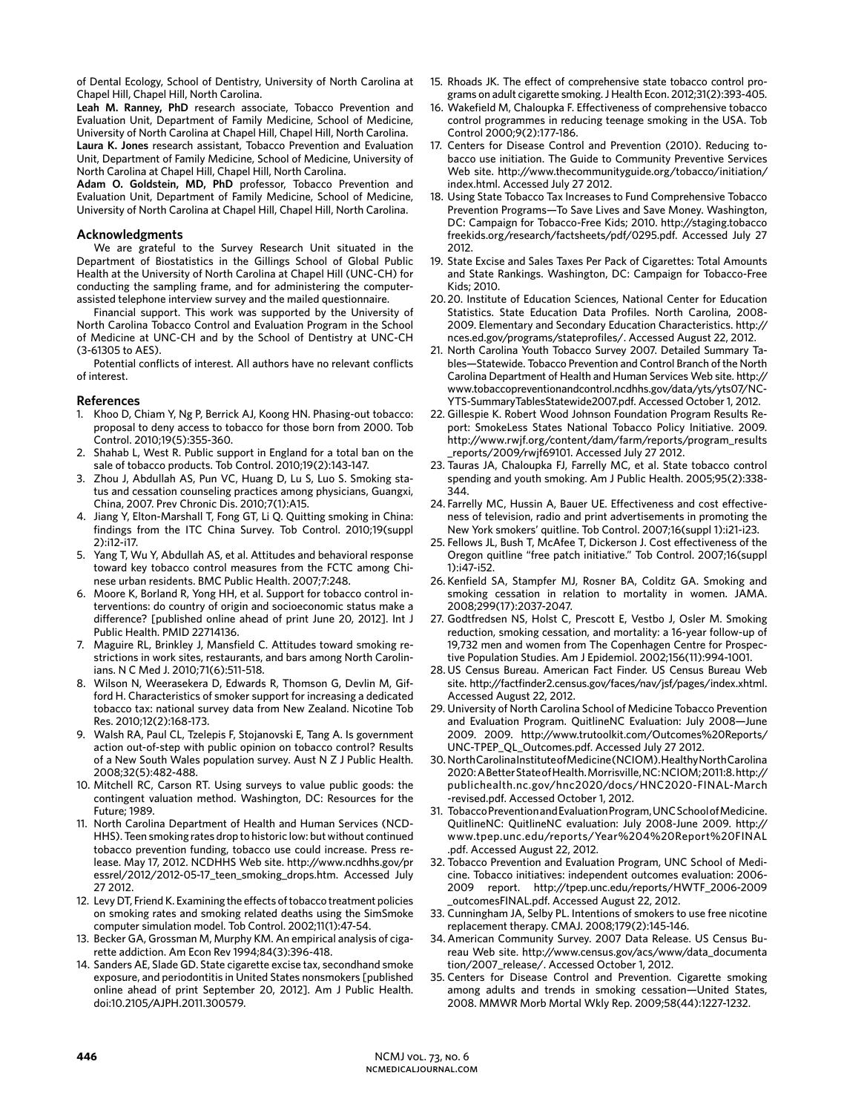of Dental Ecology, School of Dentistry, University of North Carolina at Chapel Hill, Chapel Hill, North Carolina.

**Leah M. Ranney, PhD** research associate, Tobacco Prevention and Evaluation Unit, Department of Family Medicine, School of Medicine, University of North Carolina at Chapel Hill, Chapel Hill, North Carolina. **Laura K. Jones** research assistant, Tobacco Prevention and Evaluation Unit, Department of Family Medicine, School of Medicine, University of North Carolina at Chapel Hill, Chapel Hill, North Carolina.

**Adam O. Goldstein, MD, PhD** professor, Tobacco Prevention and Evaluation Unit, Department of Family Medicine, School of Medicine, University of North Carolina at Chapel Hill, Chapel Hill, North Carolina.

## **Acknowledgments**

We are grateful to the Survey Research Unit situated in the Department of Biostatistics in the Gillings School of Global Public Health at the University of North Carolina at Chapel Hill (UNC-CH) for conducting the sampling frame, and for administering the computerassisted telephone interview survey and the mailed questionnaire.

Financial support. This work was supported by the University of North Carolina Tobacco Control and Evaluation Program in the School of Medicine at UNC-CH and by the School of Dentistry at UNC-CH (3-61305 to AES).

Potential conflicts of interest. All authors have no relevant conflicts of interest.

### **References**

- 1. Khoo D, Chiam Y, Ng P, Berrick AJ, Koong HN. Phasing-out tobacco: proposal to deny access to tobacco for those born from 2000. Tob Control. 2010;19(5):355-360.
- 2. Shahab L, West R. Public support in England for a total ban on the sale of tobacco products. Tob Control. 2010;19(2):143-147.
- 3. Zhou J, Abdullah AS, Pun VC, Huang D, Lu S, Luo S. Smoking status and cessation counseling practices among physicians, Guangxi, China, 2007. Prev Chronic Dis. 2010;7(1):A15.
- 4. Jiang Y, Elton-Marshall T, Fong GT, Li Q. Quitting smoking in China: findings from the ITC China Survey. Tob Control. 2010;19(suppl 2):i12-i17.
- Yang T, Wu Y, Abdullah AS, et al. Attitudes and behavioral response toward key tobacco control measures from the FCTC among Chinese urban residents. BMC Public Health. 2007;7:248.
- 6. Moore K, Borland R, Yong HH, et al. Support for tobacco control interventions: do country of origin and socioeconomic status make a difference? [published online ahead of print June 20, 2012]. Int J Public Health. PMID 22714136.
- 7. Maguire RL, Brinkley J, Mansfield C. Attitudes toward smoking restrictions in work sites, restaurants, and bars among North Carolinians. N C Med J. 2010;71(6):511-518.
- 8. Wilson N, Weerasekera D, Edwards R, Thomson G, Devlin M, Gifford H. Characteristics of smoker support for increasing a dedicated tobacco tax: national survey data from New Zealand. Nicotine Tob Res. 2010;12(2):168-173.
- 9. Walsh RA, Paul CL, Tzelepis F, Stojanovski E, Tang A. Is government action out-of-step with public opinion on tobacco control? Results of a New South Wales population survey. Aust N Z J Public Health. 2008;32(5):482-488.
- 10. Mitchell RC, Carson RT. Using surveys to value public goods: the contingent valuation method. Washington, DC: Resources for the Future; 1989.
- 11. North Carolina Department of Health and Human Services (NCD-HHS). Teen smoking rates drop to historic low: but without continued tobacco prevention funding, tobacco use could increase. Press release. May 17, 2012. NCDHHS Web site. http://www.ncdhhs.gov/pr essrel/2012/2012-05-17\_teen\_smoking\_drops.htm. Accessed July 27 2012.
- 12. Levy DT, Friend K. Examining the effects of tobacco treatment policies on smoking rates and smoking related deaths using the SimSmoke computer simulation model. Tob Control. 2002;11(1):47-54.
- 13. Becker GA, Grossman M, Murphy KM. An empirical analysis of cigarette addiction. Am Econ Rev 1994;84(3):396-418.
- 14. Sanders AE, Slade GD. State cigarette excise tax, secondhand smoke exposure, and periodontitis in United States nonsmokers [published online ahead of print September 20, 2012]. Am J Public Health. doi:10.2105/AJPH.2011.300579.
- 15. Rhoads JK. The effect of comprehensive state tobacco control programs on adult cigarette smoking. J Health Econ. 2012;31(2):393-405.
- 16. Wakefield M, Chaloupka F. Effectiveness of comprehensive tobacco control programmes in reducing teenage smoking in the USA. Tob Control 2000;9(2):177-186.
- 17. Centers for Disease Control and Prevention (2010). Reducing tobacco use initiation. The Guide to Community Preventive Services Web site. http://www.thecommunityguide.org/tobacco/initiation/ index.html. Accessed July 27 2012.
- 18. Using State Tobacco Tax Increases to Fund Comprehensive Tobacco Prevention Programs—To Save Lives and Save Money. Washington, DC: Campaign for Tobacco-Free Kids; 2010. http://staging.tobacco freekids.org/research/factsheets/pdf/0295.pdf. Accessed July 27 2012.
- 19. State Excise and Sales Taxes Per Pack of Cigarettes: Total Amounts and State Rankings. Washington, DC: Campaign for Tobacco-Free Kids; 2010.
- 20. 20. Institute of Education Sciences, National Center for Education Statistics. State Education Data Profiles. North Carolina, 2008- 2009. Elementary and Secondary Education Characteristics. http:// nces.ed.gov/programs/stateprofiles/. Accessed August 22, 2012.
- 21. North Carolina Youth Tobacco Survey 2007. Detailed Summary Tables—Statewide. Tobacco Prevention and Control Branch of the North Carolina Department of Health and Human Services Web site. http:// www.tobaccopreventionandcontrol.ncdhhs.gov/data/yts/yts07/NC-YTS-SummaryTablesStatewide2007.pdf. Accessed October 1, 2012.
- 22. Gillespie K. Robert Wood Johnson Foundation Program Results Report: SmokeLess States National Tobacco Policy Initiative. 2009. http://www.rwjf.org/content/dam/farm/reports/program\_results \_reports/2009/rwjf69101. Accessed July 27 2012.
- 23. Tauras JA, Chaloupka FJ, Farrelly MC, et al. State tobacco control spending and youth smoking. Am J Public Health. 2005;95(2):338- 344.
- 24. Farrelly MC, Hussin A, Bauer UE. Effectiveness and cost effectiveness of television, radio and print advertisements in promoting the New York smokers' quitline. Tob Control. 2007;16(suppl 1):i21-i23.
- 25. Fellows JL, Bush T, McAfee T, Dickerson J. Cost effectiveness of the Oregon quitline "free patch initiative." Tob Control. 2007;16(suppl 1):i47-i52.
- 26. Kenfield SA, Stampfer MJ, Rosner BA, Colditz GA. Smoking and smoking cessation in relation to mortality in women. JAMA. 2008;299(17):2037-2047.
- 27. Godtfredsen NS, Holst C, Prescott E, Vestbo J, Osler M. Smoking reduction, smoking cessation, and mortality: a 16-year follow-up of 19,732 men and women from The Copenhagen Centre for Prospective Population Studies. Am J Epidemiol. 2002;156(11):994-1001.
- 28. US Census Bureau. American Fact Finder. US Census Bureau Web site. http://factfinder2.census.gov/faces/nav/jsf/pages/index.xhtml. Accessed August 22, 2012.
- 29. University of North Carolina School of Medicine Tobacco Prevention and Evaluation Program. QuitlineNC Evaluation: July 2008—June 2009. 2009. http://www.trutoolkit.com/Outcomes%20Reports/ UNC-TPEP\_QL\_Outcomes.pdf. Accessed July 27 2012.
- 30. North Carolina Institute of Medicine (NCIOM). Healthy North Carolina 2020: A Better State of Health. Morrisville, NC: NCIOM; 2011:8. http:// publichealth.nc.gov/hnc2020/docs/HNC2020-FINAL-March -revised.pdf. Accessed October 1, 2012.
- 31. Tobacco Prevention and Evaluation Program, UNC School of Medicine. QuitlineNC: QuitlineNC evaluation: July 2008-June 2009. http:// www.tpep.unc.edu/reports/Year%204%20Report%20FINAL .pdf. Accessed August 22, 2012.
- 32. Tobacco Prevention and Evaluation Program, UNC School of Medicine. Tobacco initiatives: independent outcomes evaluation: 2006- 2009 report. http://tpep.unc.edu/reports/HWTF\_2006-2009 \_outcomesFINAL.pdf. Accessed August 22, 2012.
- 33. Cunningham JA, Selby PL. Intentions of smokers to use free nicotine replacement therapy. CMAJ. 2008;179(2):145-146.
- 34. American Community Survey. 2007 Data Release. US Census Bureau Web site. http://www.census.gov/acs/www/data\_documenta tion/2007\_release/. Accessed October 1, 2012.
- 35. Centers for Disease Control and Prevention. Cigarette smoking among adults and trends in smoking cessation—United States, 2008. MMWR Morb Mortal Wkly Rep. 2009;58(44):1227-1232.